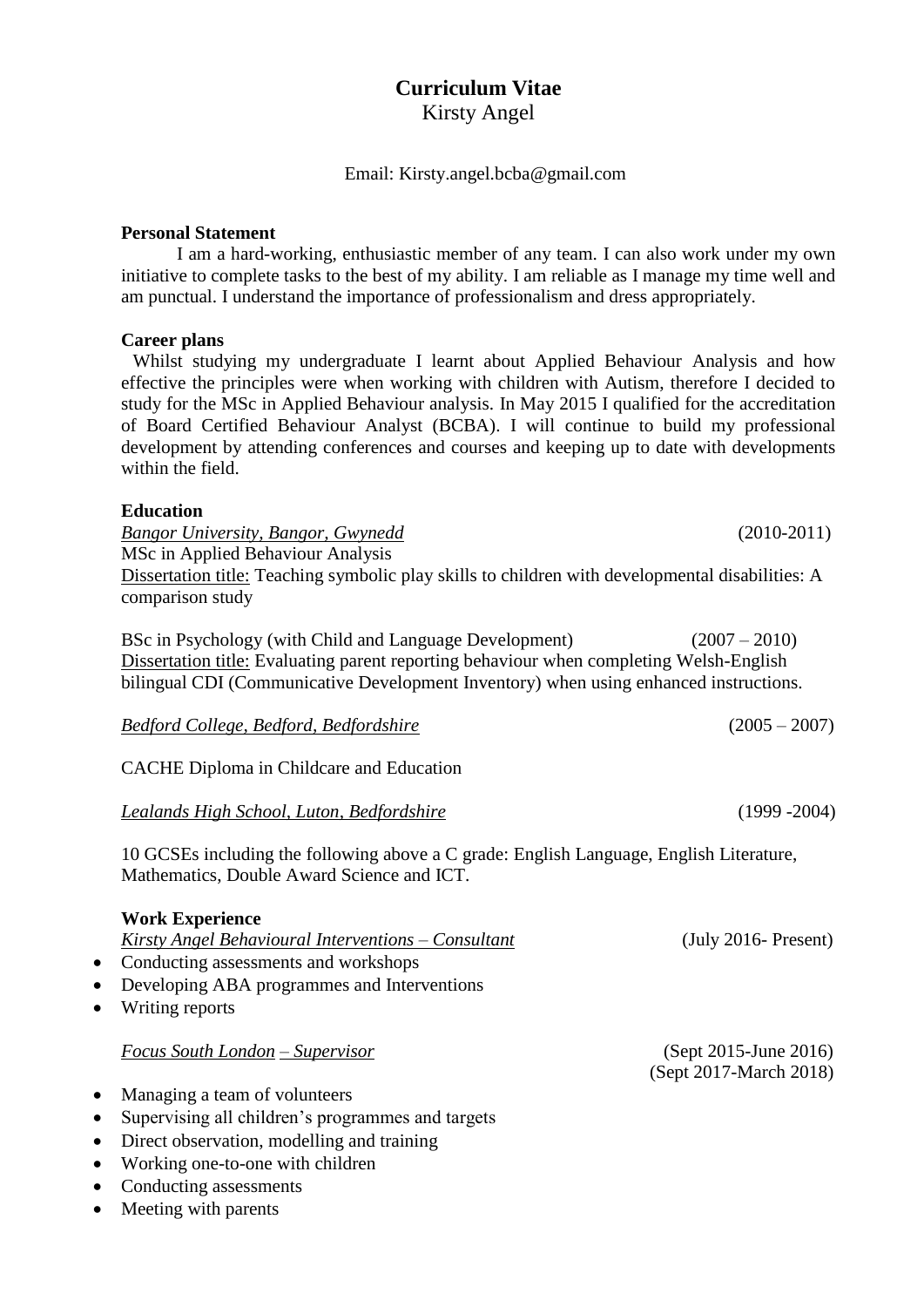# **Curriculum Vitae**

Kirsty Angel

Email: Kirsty.angel.bcba@gmail.com

#### **Personal Statement**

I am a hard-working, enthusiastic member of any team. I can also work under my own initiative to complete tasks to the best of my ability. I am reliable as I manage my time well and am punctual. I understand the importance of professionalism and dress appropriately.

#### **Career plans**

Whilst studying my undergraduate I learnt about Applied Behaviour Analysis and how effective the principles were when working with children with Autism, therefore I decided to study for the MSc in Applied Behaviour analysis. In May 2015 I qualified for the accreditation of Board Certified Behaviour Analyst (BCBA). I will continue to build my professional development by attending conferences and courses and keeping up to date with developments within the field.

#### **Education**

*Bangor University, Bangor, Gwynedd* (2010-2011) MSc in Applied Behaviour Analysis Dissertation title: Teaching symbolic play skills to children with developmental disabilities: A comparison study

BSc in Psychology (with Child and Language Development) (2007 – 2010) Dissertation title: Evaluating parent reporting behaviour when completing Welsh-English bilingual CDI (Communicative Development Inventory) when using enhanced instructions.

| Bedford College, Bedford, Bedfordshire | $(2005 - 2007)$ |
|----------------------------------------|-----------------|
|----------------------------------------|-----------------|

CACHE Diploma in Childcare and Education

*Lealands High School, Luton, Bedfordshire* (1999 -2004)

10 GCSEs including the following above a C grade: English Language, English Literature, Mathematics, Double Award Science and ICT.

#### **Work Experience**

| Kirsty Angel Behavioural Interventions - Consultant | $(\text{July } 2016 - \text{Present})$          |
|-----------------------------------------------------|-------------------------------------------------|
| • Conducting assessments and workshops              |                                                 |
| • Developing ABA programmes and Interventions       |                                                 |
| • Writing reports                                   |                                                 |
| Focus South London – Supervisor                     | (Sept 2015-June 2016)<br>(Sept 2017-March 2018) |
| • Managing a team of volunteers                     |                                                 |
| • Supervising all children's programmes and targets |                                                 |
| • Direct observation, modelling and training        |                                                 |

- Working one-to-one with children
- Conducting assessments
- Meeting with parents